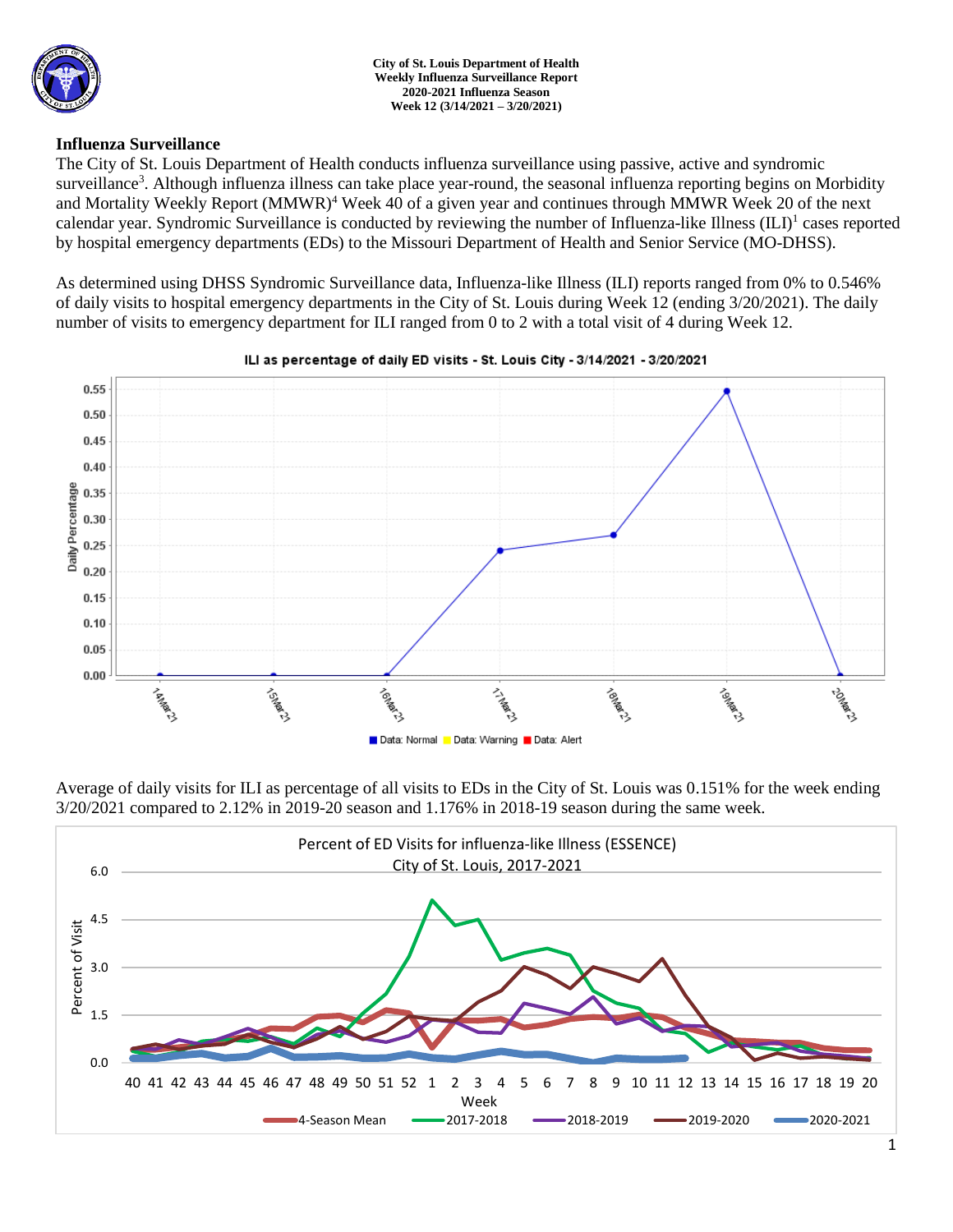

## **Influenza Surveillance**

The City of St. Louis Department of Health conducts influenza surveillance using passive, active and syndromic surveillance<sup>3</sup>. Although influenza illness can take place year-round, the seasonal influenza reporting begins on Morbidity and Mortality Weekly Report (MMWR)<sup>4</sup> Week 40 of a given year and continues through MMWR Week 20 of the next calendar year. Syndromic Surveillance is conducted by reviewing the number of Influenza-like Illness (ILI)<sup>1</sup> cases reported by hospital emergency departments (EDs) to the Missouri Department of Health and Senior Service (MO-DHSS).

As determined using DHSS Syndromic Surveillance data, Influenza-like Illness (ILI) reports ranged from 0% to 0.546% of daily visits to hospital emergency departments in the City of St. Louis during Week 12 (ending 3/20/2021). The daily number of visits to emergency department for ILI ranged from 0 to 2 with a total visit of 4 during Week 12.



#### ILI as percentage of daily ED visits - St. Louis City - 3/14/2021 - 3/20/2021

Average of daily visits for ILI as percentage of all visits to EDs in the City of St. Louis was 0.151% for the week ending 3/20/2021 compared to 2.12% in 2019-20 season and 1.176% in 2018-19 season during the same week.

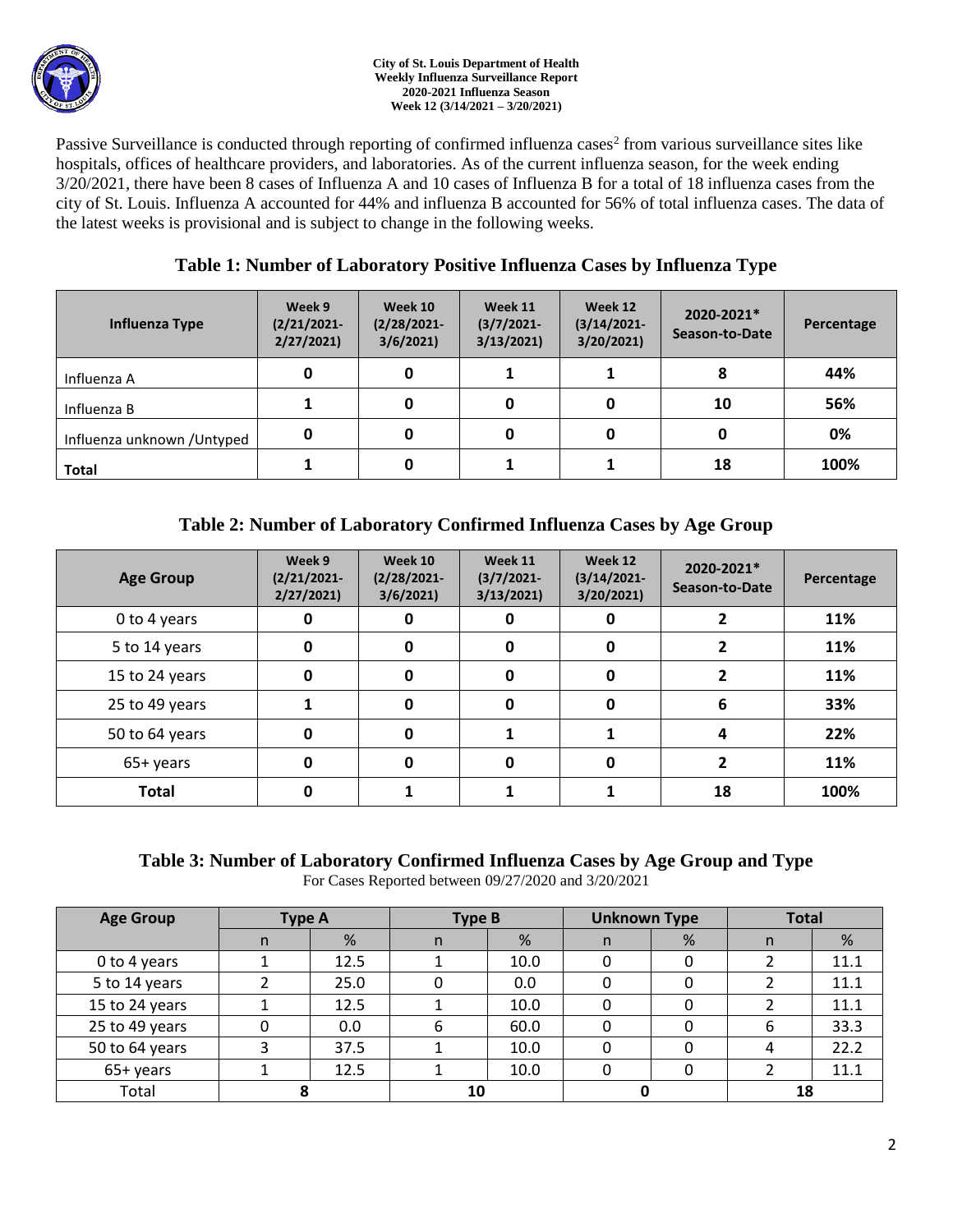

Passive Surveillance is conducted through reporting of confirmed influenza cases<sup>2</sup> from various surveillance sites like hospitals, offices of healthcare providers, and laboratories. As of the current influenza season, for the week ending 3/20/2021, there have been 8 cases of Influenza A and 10 cases of Influenza B for a total of 18 influenza cases from the city of St. Louis. Influenza A accounted for 44% and influenza B accounted for 56% of total influenza cases. The data of the latest weeks is provisional and is subject to change in the following weeks.

# **Table 1: Number of Laboratory Positive Influenza Cases by Influenza Type**

| Influenza Type              | Week 9<br>$(2/21/2021 -$<br>2/27/2021 | Week 10<br>$(2/28/2021 -$<br>3/6/2021 | Week 11<br>$(3/7/2021 -$<br>3/13/2021 | Week 12<br>$(3/14/2021 -$<br>3/20/2021 | 2020-2021*<br>Season-to-Date | Percentage |
|-----------------------------|---------------------------------------|---------------------------------------|---------------------------------------|----------------------------------------|------------------------------|------------|
| Influenza A                 | 0                                     | 0                                     |                                       |                                        | 8                            | 44%        |
| Influenza B                 |                                       |                                       | 0                                     |                                        | 10                           | 56%        |
| Influenza unknown / Untyped | 0                                     | 0                                     | 0                                     |                                        | 0                            | 0%         |
| <b>Total</b>                |                                       |                                       |                                       |                                        | 18                           | 100%       |

# **Table 2: Number of Laboratory Confirmed Influenza Cases by Age Group**

| <b>Age Group</b> | Week 9<br>$(2/21/2021 -$<br>2/27/2021 | Week 10<br>$(2/28/2021 -$<br>3/6/2021 | Week 11<br>$(3/7/2021 -$<br>3/13/2021 | Week 12<br>$(3/14/2021 -$<br>3/20/2021 | 2020-2021*<br>Season-to-Date | Percentage |
|------------------|---------------------------------------|---------------------------------------|---------------------------------------|----------------------------------------|------------------------------|------------|
| 0 to 4 years     | 0                                     | 0                                     | 0                                     |                                        |                              | 11%        |
| 5 to 14 years    | 0                                     | 0                                     | 0                                     | 0                                      |                              | 11%        |
| 15 to 24 years   | 0                                     | 0                                     | 0                                     | 0                                      |                              | 11%        |
| 25 to 49 years   |                                       | $\bf{0}$                              | $\mathbf 0$                           | 0                                      | 6                            | 33%        |
| 50 to 64 years   | 0                                     | $\bf{0}$                              |                                       |                                        | 4                            | 22%        |
| 65+ years        | 0                                     | O                                     | 0                                     | O                                      |                              | 11%        |
| <b>Total</b>     | 0                                     |                                       |                                       |                                        | 18                           | 100%       |

### **Table 3: Number of Laboratory Confirmed Influenza Cases by Age Group and Type** For Cases Reported between 09/27/2020 and 3/20/2021

| <b>Age Group</b> | <b>Type A</b> |      | <b>Type B</b> |      | <b>Unknown Type</b> |   | <b>Total</b> |      |
|------------------|---------------|------|---------------|------|---------------------|---|--------------|------|
|                  | n             | %    | n.            | %    | n                   | % | n            | %    |
| 0 to 4 years     |               | 12.5 |               | 10.0 | 0                   | 0 |              | 11.1 |
| 5 to 14 years    |               | 25.0 |               | 0.0  | 0                   |   |              | 11.1 |
| 15 to 24 years   |               | 12.5 |               | 10.0 | 0                   | 0 |              | 11.1 |
| 25 to 49 years   |               | 0.0  | 6             | 60.0 | 0                   |   | 6            | 33.3 |
| 50 to 64 years   |               | 37.5 |               | 10.0 | 0                   |   | 4            | 22.2 |
| 65+ years        |               | 12.5 |               | 10.0 | 0                   | 0 |              | 11.1 |
| Total            |               |      | 10            |      |                     |   | 18           |      |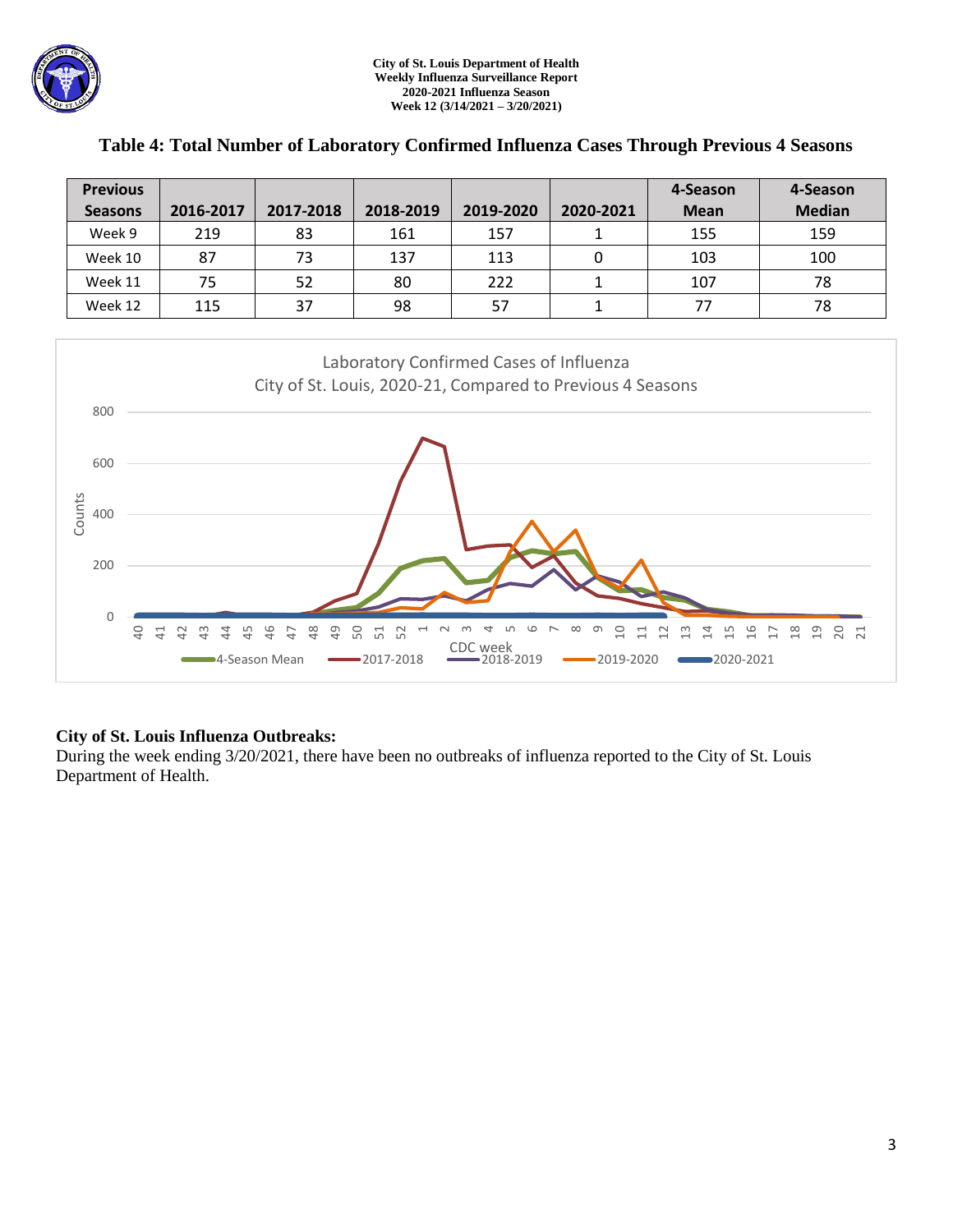| <b>Previous</b> |           |           |           |           |           | 4-Season    | 4-Season      |
|-----------------|-----------|-----------|-----------|-----------|-----------|-------------|---------------|
| <b>Seasons</b>  | 2016-2017 | 2017-2018 | 2018-2019 | 2019-2020 | 2020-2021 | <b>Mean</b> | <b>Median</b> |
| Week 9          | 219       | 83        | 161       | 157       |           | 155         | 159           |
| Week 10         | 87        | 73        | 137       | 113       | 0         | 103         | 100           |
| Week 11         | 75        | 52        | 80        | 222       |           | 107         | 78            |
| Week 12         | 115       | 37        | 98        | 57        |           | 77          | 78            |

## **Table 4: Total Number of Laboratory Confirmed Influenza Cases Through Previous 4 Seasons**



# **City of St. Louis Influenza Outbreaks:**

During the week ending 3/20/2021, there have been no outbreaks of influenza reported to the City of St. Louis Department of Health.